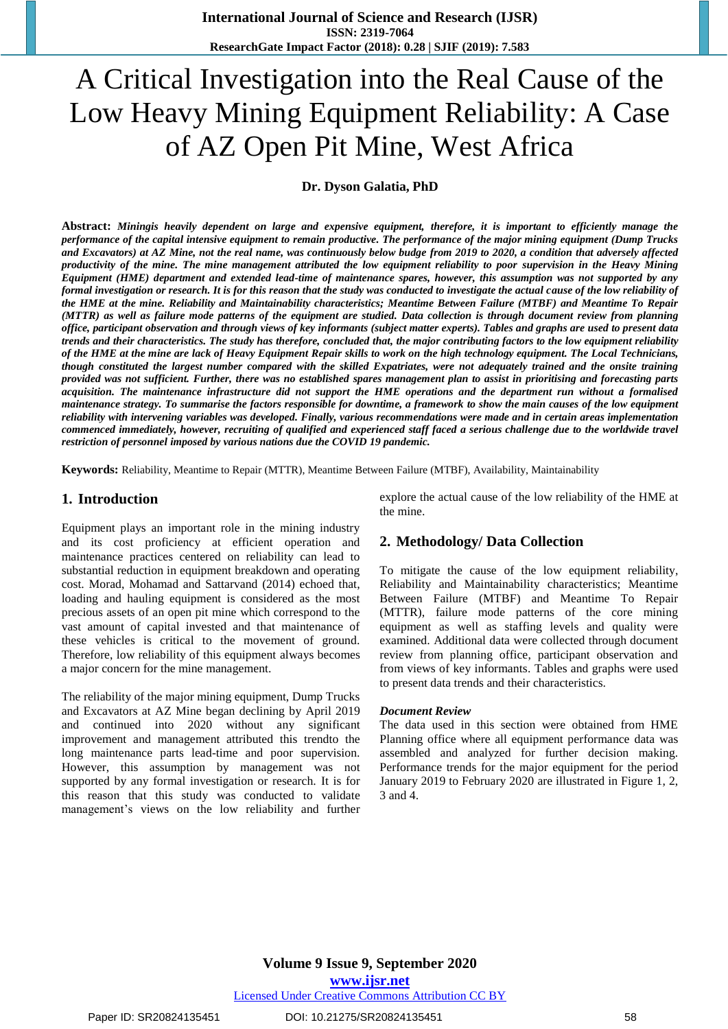# A Critical Investigation into the Real Cause of the Low Heavy Mining Equipment Reliability: A Case of AZ Open Pit Mine, West Africa

**Dr. Dyson Galatia, PhD**

**Abstract:** *Miningis heavily dependent on large and expensive equipment, therefore, it is important to efficiently manage the performance of the capital intensive equipment to remain productive. The performance of the major mining equipment (Dump Trucks and Excavators) at AZ Mine, not the real name, was continuously below budge from 2019 to 2020, a condition that adversely affected productivity of the mine. The mine management attributed the low equipment reliability to poor supervision in the Heavy Mining Equipment (HME) department and extended lead-time of maintenance spares, however, this assumption was not supported by any formal investigation or research. It is for this reason that the study was conducted to investigate the actual cause of the low reliability of the HME at the mine. Reliability and Maintainability characteristics; Meantime Between Failure (MTBF) and Meantime To Repair (MTTR) as well as failure mode patterns of the equipment are studied. Data collection is through document review from planning office, participant observation and through views of key informants (subject matter experts). Tables and graphs are used to present data trends and their characteristics. The study has therefore, concluded that, the major contributing factors to the low equipment reliability of the HME at the mine are lack of Heavy Equipment Repair skills to work on the high technology equipment. The Local Technicians, though constituted the largest number compared with the skilled Expatriates, were not adequately trained and the onsite training provided was not sufficient. Further, there was no established spares management plan to assist in prioritising and forecasting parts acquisition. The maintenance infrastructure did not support the HME operations and the department run without a formalised maintenance strategy. To summarise the factors responsible for downtime, a framework to show the main causes of the low equipment reliability with intervening variables was developed. Finally, various recommendations were made and in certain areas implementation commenced immediately, however, recruiting of qualified and experienced staff faced a serious challenge due to the worldwide travel restriction of personnel imposed by various nations due the COVID 19 pandemic.*

**Keywords:** Reliability, Meantime to Repair (MTTR), Meantime Between Failure (MTBF), Availability, Maintainability

#### **1. Introduction**

Equipment plays an important role in the mining industry and its cost proficiency at efficient operation and maintenance practices centered on reliability can lead to substantial reduction in equipment breakdown and operating cost. Morad, Mohamad and Sattarvand (2014) echoed that, loading and hauling equipment is considered as the most precious assets of an open pit mine which correspond to the vast amount of capital invested and that maintenance of these vehicles is critical to the movement of ground. Therefore, low reliability of this equipment always becomes a major concern for the mine management.

The reliability of the major mining equipment, Dump Trucks and Excavators at AZ Mine began declining by April 2019 and continued into 2020 without any significant improvement and management attributed this trendto the long maintenance parts lead-time and poor supervision. However, this assumption by management was not supported by any formal investigation or research. It is for this reason that this study was conducted to validate management"s views on the low reliability and further

explore the actual cause of the low reliability of the HME at the mine.

### **2. Methodology/ Data Collection**

To mitigate the cause of the low equipment reliability, Reliability and Maintainability characteristics; Meantime Between Failure (MTBF) and Meantime To Repair (MTTR), failure mode patterns of the core mining equipment as well as staffing levels and quality were examined. Additional data were collected through document review from planning office, participant observation and from views of key informants. Tables and graphs were used to present data trends and their characteristics.

#### *Document Review*

The data used in this section were obtained from HME Planning office where all equipment performance data was assembled and analyzed for further decision making. Performance trends for the major equipment for the period January 2019 to February 2020 are illustrated in Figure 1, 2, 3 and 4.

**www.ijsr.net**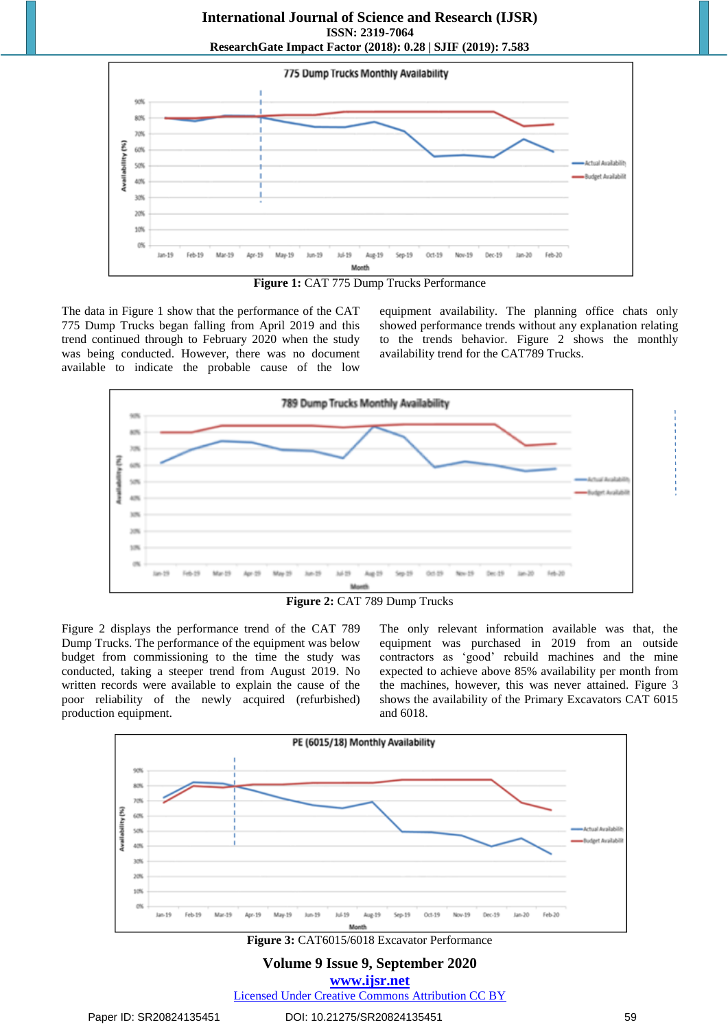



The data in Figure 1 show that the performance of the CAT 775 Dump Trucks began falling from April 2019 and this trend continued through to February 2020 when the study was being conducted. However, there was no document available to indicate the probable cause of the low

equipment availability. The planning office chats only showed performance trends without any explanation relating to the trends behavior. Figure 2 shows the monthly availability trend for the CAT789 Trucks.



**Figure 2:** CAT 789 Dump Trucks

Figure 2 displays the performance trend of the CAT 789 Dump Trucks. The performance of the equipment was below budget from commissioning to the time the study was conducted, taking a steeper trend from August 2019. No written records were available to explain the cause of the poor reliability of the newly acquired (refurbished) production equipment.

The only relevant information available was that, the equipment was purchased in 2019 from an outside contractors as "good" rebuild machines and the mine expected to achieve above 85% availability per month from the machines, however, this was never attained. Figure 3 shows the availability of the Primary Excavators CAT 6015 and 6018.



**Figure 3:** CAT6015/6018 Excavator Performance

**Volume 9 Issue 9, September 2020**

**www.ijsr.net** Licensed Under Creative Commons Attribution CC BY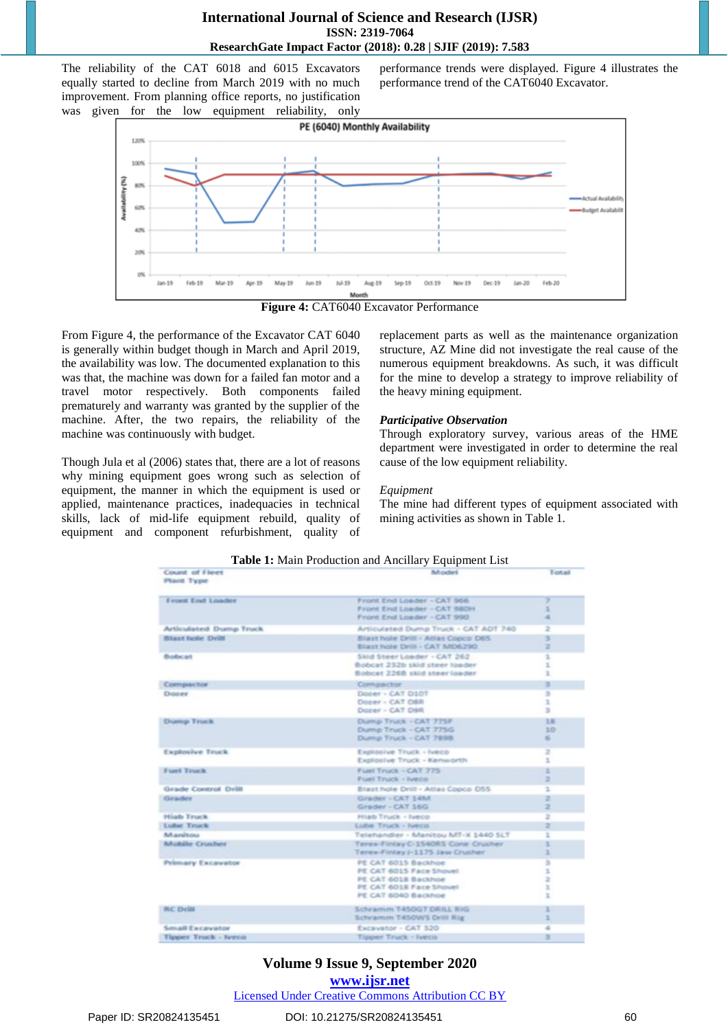The reliability of the CAT 6018 and 6015 Excavators equally started to decline from March 2019 with no much improvement. From planning office reports, no justification was given for the low equipment reliability, only

performance trends were displayed. Figure 4 illustrates the performance trend of the CAT6040 Excavator.



**Figure 4:** CAT6040 Excavator Performance

From Figure 4, the performance of the Excavator CAT 6040 is generally within budget though in March and April 2019, the availability was low. The documented explanation to this was that, the machine was down for a failed fan motor and a travel motor respectively. Both components failed prematurely and warranty was granted by the supplier of the machine. After, the two repairs, the reliability of the machine was continuously with budget.

Though Jula et al (2006) states that, there are a lot of reasons why mining equipment goes wrong such as selection of equipment, the manner in which the equipment is used or applied, maintenance practices, inadequacies in technical skills, lack of mid-life equipment rebuild, quality of equipment and component refurbishment, quality of replacement parts as well as the maintenance organization structure, AZ Mine did not investigate the real cause of the numerous equipment breakdowns. As such, it was difficult for the mine to develop a strategy to improve reliability of the heavy mining equipment.

#### *Participative Observation*

Through exploratory survey, various areas of the HME department were investigated in order to determine the real cause of the low equipment reliability.

#### *Equipment*

The mine had different types of equipment associated with mining activities as shown in Table 1.

|                              | . .                                                       |              |
|------------------------------|-----------------------------------------------------------|--------------|
| Count of Fieet<br>Plant Type | <b>Model</b>                                              | Total        |
| Front End Loader             | Front End Loader - CAT 966                                | э            |
|                              | Front End Leader - CAT 660H<br>Front End Loader - CAT 990 | x<br>٠       |
| Articulated Dump Truck       | Articulated Dump Truck - CAT ADT 740                      | z            |
| Blast hole Drill             | Blast hole Drill - Atlas Copco D65                        | ж            |
|                              | Blast hole Drill - CAT MD6290                             | z            |
| Bobcat                       | Skid Steer Loader - CAT 262                               | s.           |
|                              | Bobcat 232b skid steer loader                             | ä.           |
|                              | Bobcat 2260 skid steer loader                             | ı            |
| Compactor                    | Compactor                                                 | ×            |
| Digitalne                    | Dozer - CAT 0107                                          | ×            |
|                              | Docer - CAT DBR                                           | ä.           |
|                              | Docer - CAT D9R                                           | ×            |
| Dunnp Truck                  | Dump Truck - CAT 775F                                     | 18           |
|                              | Dump Truck - CAT 775G                                     | 3D           |
|                              | Dump Truck - CAT 7898.                                    | 61           |
| Explosive Truck              | Explosive Truck - fyeco                                   | Ξ            |
|                              | Explosive Truck - Kenworth                                | n.           |
| Fuel Truck                   | Fuel Truck - CAT 775                                      | r            |
|                              | Ford Truck - Iveral                                       | z            |
| Grade Control Drill          | Blast hole Drill - Atlas Copco D55                        | Ξ            |
| Grader                       | Grader - CAT 14M                                          | э            |
|                              | Grader - CAT 16G                                          | ž            |
| Hiab Truck                   | Hiab Truck - Iveco                                        | $\equiv$     |
| <b>Luter Truck</b>           | Lube Truck - Ivero                                        | ä.           |
| Manitou                      | Telehandler - Manitou MT-X 1440 SLT                       | x            |
| <b>Mubile Crushers</b>       | Terex-Finlay C-1540RS Cone Crusher                        | x            |
|                              | Terex-Finlay J-1175 Jaw Cruther                           | ×            |
| Primary Excavator            | PE CAT 6015 Backhoe                                       | х            |
|                              | PE CAT 6015 Face Showel                                   | x            |
|                              | PE CAT 6018 Backhoe                                       | z<br>x       |
|                              | PE CAT 6018 Face Shovel<br>PE CAT 6040 Backhoe            | $\mathbb{R}$ |
|                              |                                                           |              |
| <b><i>BC Drift</i></b>       | Schramim T450GT DRILL RIG                                 | z.           |
|                              | Schramm T450WS Drill Rig                                  | x            |
| <b>Small Excavator</b>       | Excavator - CAT 320                                       | ä            |
| Tipper Truck - Iveco         | Tippeer Truck - Iveco                                     | ×            |

### **Table 1:** Main Production and Ancillary Equipment List

## **Volume 9 Issue 9, September 2020**

**www.ijsr.net**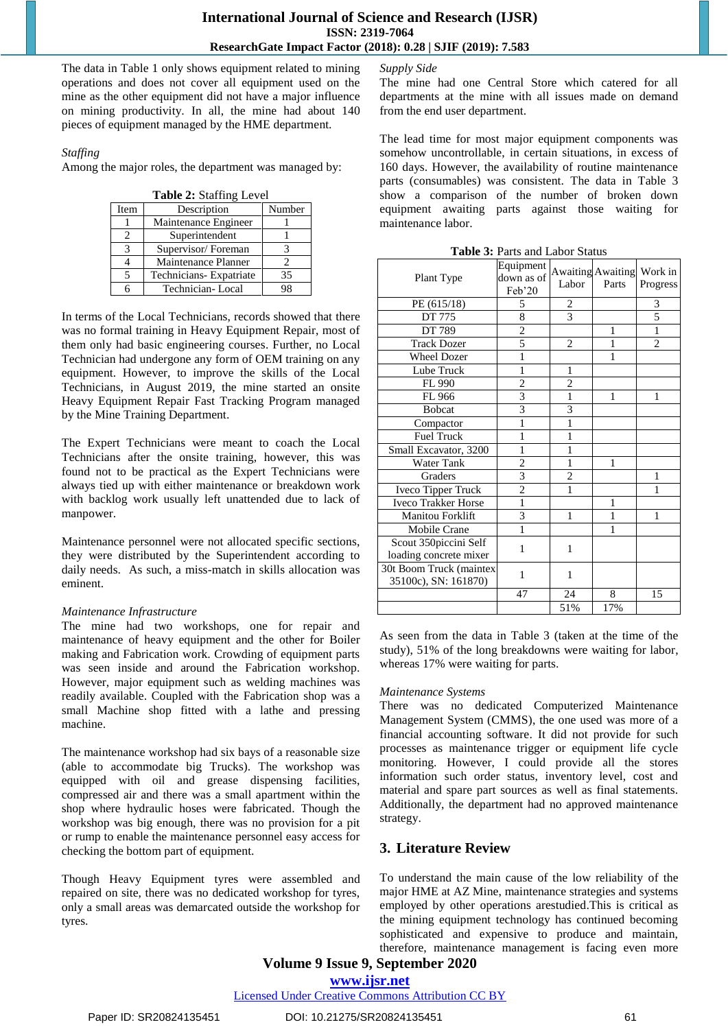The data in Table 1 only shows equipment related to mining operations and does not cover all equipment used on the mine as the other equipment did not have a major influence on mining productivity. In all, the mine had about 140 pieces of equipment managed by the HME department.

*Staffing*

Among the major roles, the department was managed by:

**Table 2:** Staffing Level

| Item | Description            | Number |
|------|------------------------|--------|
|      | Maintenance Engineer   |        |
| 2    | Superintendent         |        |
| 3    | Supervisor/Foreman     |        |
|      | Maintenance Planner    |        |
| 5    | Technicians-Expatriate | 35     |
|      | Technician-Local       |        |

In terms of the Local Technicians, records showed that there was no formal training in Heavy Equipment Repair, most of them only had basic engineering courses. Further, no Local Technician had undergone any form of OEM training on any equipment. However, to improve the skills of the Local Technicians, in August 2019, the mine started an onsite Heavy Equipment Repair Fast Tracking Program managed by the Mine Training Department.

The Expert Technicians were meant to coach the Local Technicians after the onsite training, however, this was found not to be practical as the Expert Technicians were always tied up with either maintenance or breakdown work with backlog work usually left unattended due to lack of manpower.

Maintenance personnel were not allocated specific sections, they were distributed by the Superintendent according to daily needs. As such, a miss-match in skills allocation was eminent.

#### *Maintenance Infrastructure*

The mine had two workshops, one for repair and maintenance of heavy equipment and the other for Boiler making and Fabrication work. Crowding of equipment parts was seen inside and around the Fabrication workshop. However, major equipment such as welding machines was readily available. Coupled with the Fabrication shop was a small Machine shop fitted with a lathe and pressing machine.

The maintenance workshop had six bays of a reasonable size (able to accommodate big Trucks). The workshop was equipped with oil and grease dispensing facilities, compressed air and there was a small apartment within the shop where hydraulic hoses were fabricated. Though the workshop was big enough, there was no provision for a pit or rump to enable the maintenance personnel easy access for checking the bottom part of equipment.

Though Heavy Equipment tyres were assembled and repaired on site, there was no dedicated workshop for tyres, only a small areas was demarcated outside the workshop for tyres.

#### *Supply Side*

The mine had one Central Store which catered for all departments at the mine with all issues made on demand from the end user department.

The lead time for most major equipment components was somehow uncontrollable, in certain situations, in excess of 160 days. However, the availability of routine maintenance parts (consumables) was consistent. The data in Table 3 show a comparison of the number of broken down equipment awaiting parts against those waiting for maintenance labor.

| Plant Type                 | Equipment<br>down as of<br>Feb'20 | Labor          | Awaiting Awaiting Work in<br>Parts | Progress       |
|----------------------------|-----------------------------------|----------------|------------------------------------|----------------|
| PE (615/18)                | 5                                 | 2              |                                    | 3              |
| DT 775                     | 8                                 | $\overline{3}$ |                                    | 5              |
| DT 789                     | $\overline{2}$                    |                | 1                                  | $\mathbf{1}$   |
| <b>Track Dozer</b>         | 5                                 | $\overline{2}$ | 1                                  | $\overline{c}$ |
| Wheel Dozer                | 1                                 |                | 1                                  |                |
| Lube Truck                 | $\mathbf{1}$                      | 1              |                                    |                |
| FL 990                     | $\overline{2}$                    | $\overline{2}$ |                                    |                |
| FL 966                     | $\overline{3}$                    | 1              | 1                                  | 1              |
| <b>Bobcat</b>              | $\overline{3}$                    | 3              |                                    |                |
| Compactor                  | 1                                 | 1              |                                    |                |
| <b>Fuel Truck</b>          | 1                                 | 1              |                                    |                |
| Small Excavator, 3200      | 1                                 | 1              |                                    |                |
| Water Tank                 | $\overline{2}$                    | 1              | 1                                  |                |
| Graders                    | 3                                 | $\overline{c}$ |                                    | 1              |
| Iveco Tipper Truck         | $\overline{c}$                    | 1              |                                    | 1              |
| <b>Iveco Trakker Horse</b> | 1                                 |                | 1                                  |                |
| Manitou Forklift           | 3                                 | 1              | 1                                  | 1              |
| Mobile Crane               | 1                                 |                | 1                                  |                |
| Scout 350piccini Self      | 1                                 | 1              |                                    |                |
| loading concrete mixer     |                                   |                |                                    |                |
| 30t Boom Truck (maintex    | 1                                 | 1              |                                    |                |
| 35100c), SN: 161870)       |                                   |                |                                    |                |
|                            | 47                                | 24             | 8                                  | 15             |
|                            |                                   | 51%            | 17%                                |                |

**Table 3:** Parts and Labor Status

As seen from the data in Table 3 (taken at the time of the study), 51% of the long breakdowns were waiting for labor, whereas 17% were waiting for parts.

#### *Maintenance Systems*

There was no dedicated Computerized Maintenance Management System (CMMS), the one used was more of a financial accounting software. It did not provide for such processes as maintenance trigger or equipment life cycle monitoring. However, I could provide all the stores information such order status, inventory level, cost and material and spare part sources as well as final statements. Additionally, the department had no approved maintenance strategy.

# **3. Literature Review**

To understand the main cause of the low reliability of the major HME at AZ Mine, maintenance strategies and systems employed by other operations arestudied.This is critical as the mining equipment technology has continued becoming sophisticated and expensive to produce and maintain, therefore, maintenance management is facing even more

# **Volume 9 Issue 9, September 2020**

**www.ijsr.net**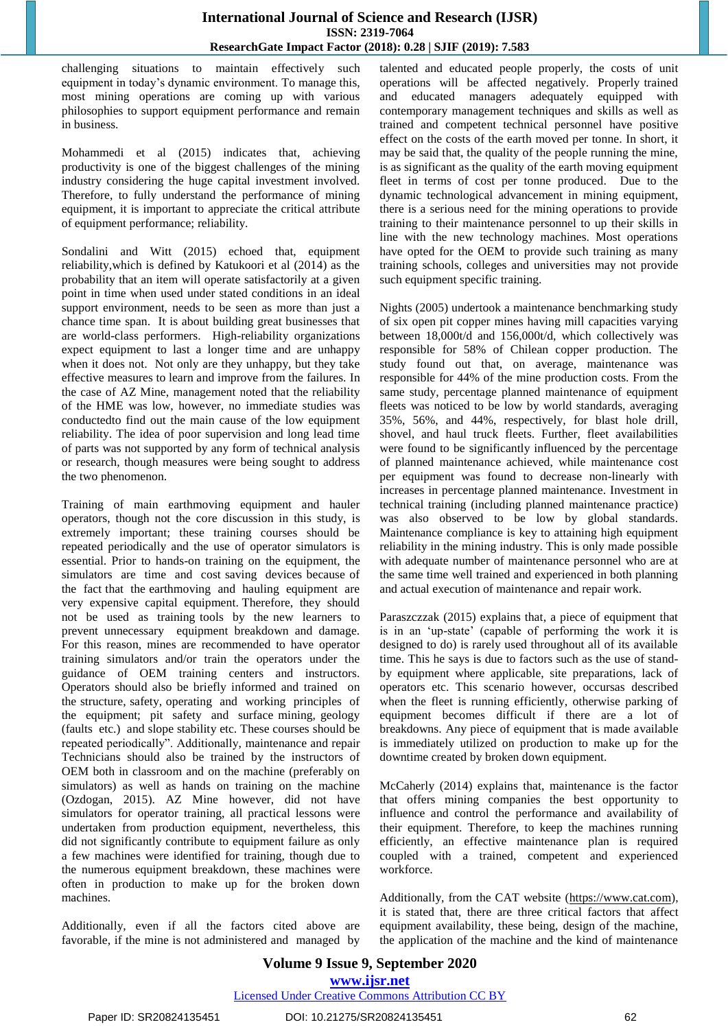challenging situations to maintain effectively such equipment in today"s dynamic environment. To manage this, most mining operations are coming up with various philosophies to support equipment performance and remain in business.

Mohammedi et al (2015) indicates that, achieving productivity is one of the biggest challenges of the mining industry considering the huge capital investment involved. Therefore, to fully understand the performance of mining equipment, it is important to appreciate the critical attribute of equipment performance; reliability.

Sondalini and Witt (2015) echoed that, equipment reliability,which is defined by Katukoori et al (2014) as the probability that an item will operate satisfactorily at a given point in time when used under stated conditions in an ideal support environment, needs to be seen as more than just a chance time span. It is about building great businesses that are world-class performers. High-reliability organizations expect equipment to last a longer time and are unhappy when it does not. Not only are they unhappy, but they take effective measures to learn and improve from the failures. In the case of AZ Mine, management noted that the reliability of the HME was low, however, no immediate studies was conductedto find out the main cause of the low equipment reliability. The idea of poor supervision and long lead time of parts was not supported by any form of technical analysis or research, though measures were being sought to address the two phenomenon.

Training of main earthmoving equipment and hauler operators, though not the core discussion in this study, is extremely important; these training courses should be repeated periodically and the use of operator simulators is essential. Prior to hands-on training on the equipment, the simulators are time and cost saving devices because of the fact that the earthmoving and hauling equipment are very expensive capital equipment. Therefore, they should not be used as training tools by the new learners to prevent unnecessary equipment breakdown and damage. For this reason, mines are recommended to have operator training simulators and/or train the operators under the guidance of OEM training centers and instructors. Operators should also be briefly informed and trained on the structure, safety, operating and working principles of the equipment; pit safety and surface mining, geology (faults etc.) and slope stability etc. These courses should be repeated periodically". Additionally, maintenance and repair Technicians should also be trained by the instructors of OEM both in classroom and on the machine (preferably on simulators) as well as hands on training on the machine (Ozdogan, 2015). AZ Mine however, did not have simulators for operator training, all practical lessons were undertaken from production equipment, nevertheless, this did not significantly contribute to equipment failure as only a few machines were identified for training, though due to the numerous equipment breakdown, these machines were often in production to make up for the broken down machines.

Additionally, even if all the factors cited above are favorable, if the mine is not administered and managed by

talented and educated people properly, the costs of unit operations will be affected negatively. Properly trained and educated managers adequately equipped with contemporary management techniques and skills as well as trained and competent technical personnel have positive effect on the costs of the earth moved per tonne. In short, it may be said that, the quality of the people running the mine, is as significant as the quality of the earth moving equipment fleet in terms of cost per tonne produced. Due to the dynamic technological advancement in mining equipment, there is a serious need for the mining operations to provide training to their maintenance personnel to up their skills in line with the new technology machines. Most operations have opted for the OEM to provide such training as many training schools, colleges and universities may not provide such equipment specific training.

Nights (2005) undertook a maintenance benchmarking study of six open pit copper mines having mill capacities varying between 18,000t/d and 156,000t/d, which collectively was responsible for 58% of Chilean copper production. The study found out that, on average, maintenance was responsible for 44% of the mine production costs. From the same study, percentage planned maintenance of equipment fleets was noticed to be low by world standards, averaging 35%, 56%, and 44%, respectively, for blast hole drill, shovel, and haul truck fleets. Further, fleet availabilities were found to be significantly influenced by the percentage of planned maintenance achieved, while maintenance cost per equipment was found to decrease non-linearly with increases in percentage planned maintenance. Investment in technical training (including planned maintenance practice) was also observed to be low by global standards. Maintenance compliance is key to attaining high equipment reliability in the mining industry. This is only made possible with adequate number of maintenance personnel who are at the same time well trained and experienced in both planning and actual execution of maintenance and repair work.

Paraszczzak (2015) explains that, a piece of equipment that is in an 'up-state' (capable of performing the work it is designed to do) is rarely used throughout all of its available time. This he says is due to factors such as the use of standby equipment where applicable, site preparations, lack of operators etc. This scenario however, occursas described when the fleet is running efficiently, otherwise parking of equipment becomes difficult if there are a lot of breakdowns. Any piece of equipment that is made available is immediately utilized on production to make up for the downtime created by broken down equipment.

McCaherly (2014) explains that, maintenance is the factor that offers mining companies the best opportunity to influence and control the performance and availability of their equipment. Therefore, to keep the machines running efficiently, an effective maintenance plan is required coupled with a trained, competent and experienced workforce.

Additionally, from the CAT website (https://www.cat.com), it is stated that, there are three critical factors that affect equipment availability, these being, design of the machine, the application of the machine and the kind of maintenance

#### **Volume 9 Issue 9, September 2020 www.ijsr.net** Licensed Under Creative Commons Attribution CC BY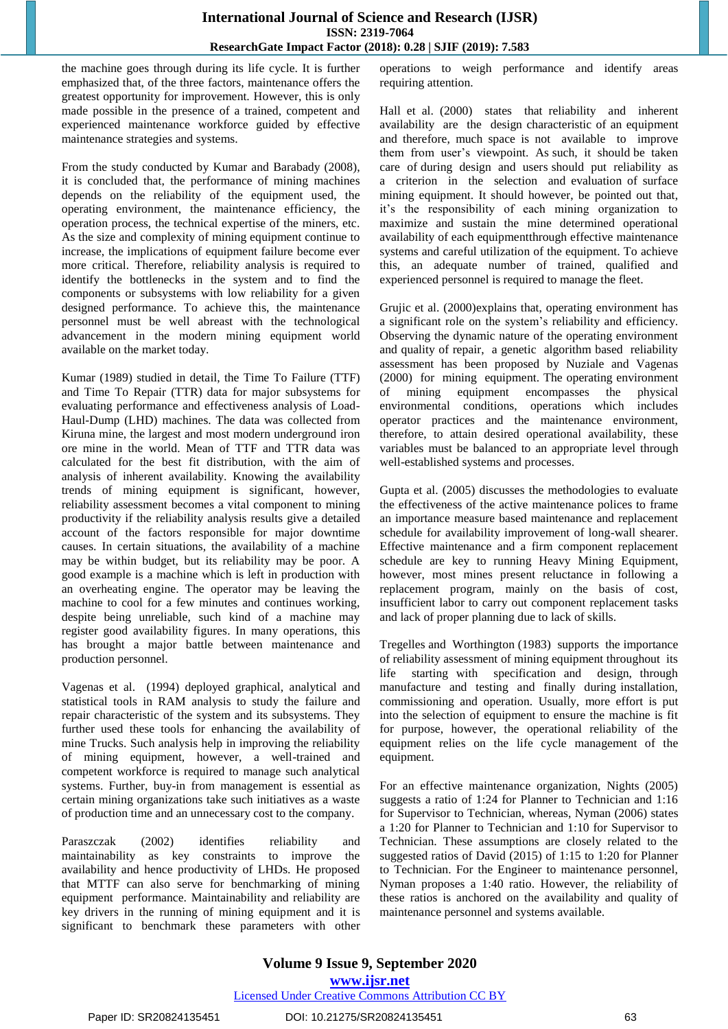the machine goes through during its life cycle. It is further emphasized that, of the three factors, maintenance offers the greatest opportunity for improvement. However, this is only made possible in the presence of a trained, competent and experienced maintenance workforce guided by effective maintenance strategies and systems.

From the study conducted by Kumar and Barabady (2008), it is concluded that, the performance of mining machines depends on the reliability of the equipment used, the operating environment, the maintenance efficiency, the operation process, the technical expertise of the miners, etc. As the size and complexity of mining equipment continue to increase, the implications of equipment failure become ever more critical. Therefore, reliability analysis is required to identify the bottlenecks in the system and to find the components or subsystems with low reliability for a given designed performance. To achieve this, the maintenance personnel must be well abreast with the technological advancement in the modern mining equipment world available on the market today.

Kumar (1989) studied in detail, the Time To Failure (TTF) and Time To Repair (TTR) data for major subsystems for evaluating performance and effectiveness analysis of Load-Haul-Dump (LHD) machines. The data was collected from Kiruna mine, the largest and most modern underground iron ore mine in the world. Mean of TTF and TTR data was calculated for the best fit distribution, with the aim of analysis of inherent availability. Knowing the availability trends of mining equipment is significant, however, reliability assessment becomes a vital component to mining productivity if the reliability analysis results give a detailed account of the factors responsible for major downtime causes. In certain situations, the availability of a machine may be within budget, but its reliability may be poor. A good example is a machine which is left in production with an overheating engine. The operator may be leaving the machine to cool for a few minutes and continues working, despite being unreliable, such kind of a machine may register good availability figures. In many operations, this has brought a major battle between maintenance and production personnel.

Vagenas et al. (1994) deployed graphical, analytical and statistical tools in RAM analysis to study the failure and repair characteristic of the system and its subsystems. They further used these tools for enhancing the availability of mine Trucks. Such analysis help in improving the reliability of mining equipment, however, a well-trained and competent workforce is required to manage such analytical systems. Further, buy-in from management is essential as certain mining organizations take such initiatives as a waste of production time and an unnecessary cost to the company.

Paraszczak (2002) identifies reliability and maintainability as key constraints to improve the availability and hence productivity of LHDs. He proposed that MTTF can also serve for benchmarking of mining equipment performance. Maintainability and reliability are key drivers in the running of mining equipment and it is significant to benchmark these parameters with other

operations to weigh performance and identify areas requiring attention.

Hall et al. (2000) states that reliability and inherent availability are the design characteristic of an equipment and therefore, much space is not available to improve them from user's viewpoint. As such, it should be taken care of during design and users should put reliability as a criterion in the selection and evaluation of surface mining equipment. It should however, be pointed out that, it"s the responsibility of each mining organization to maximize and sustain the mine determined operational availability of each equipmentthrough effective maintenance systems and careful utilization of the equipment. To achieve this, an adequate number of trained, qualified and experienced personnel is required to manage the fleet.

Grujic et al. (2000)explains that, operating environment has a significant role on the system"s reliability and efficiency. Observing the dynamic nature of the operating environment and quality of repair, a genetic algorithm based reliability assessment has been proposed by Nuziale and Vagenas (2000) for mining equipment. The operating environment of mining equipment encompasses the physical environmental conditions, operations which includes operator practices and the maintenance environment, therefore, to attain desired operational availability, these variables must be balanced to an appropriate level through well-established systems and processes.

Gupta et al. (2005) discusses the methodologies to evaluate the effectiveness of the active maintenance polices to frame an importance measure based maintenance and replacement schedule for availability improvement of long-wall shearer. Effective maintenance and a firm component replacement schedule are key to running Heavy Mining Equipment, however, most mines present reluctance in following a replacement program, mainly on the basis of cost, insufficient labor to carry out component replacement tasks and lack of proper planning due to lack of skills.

Tregelles and Worthington (1983) supports the importance of reliability assessment of mining equipment throughout its life starting with specification and design, through manufacture and testing and finally during installation, commissioning and operation. Usually, more effort is put into the selection of equipment to ensure the machine is fit for purpose, however, the operational reliability of the equipment relies on the life cycle management of the equipment.

For an effective maintenance organization, Nights (2005) suggests a ratio of 1:24 for Planner to Technician and 1:16 for Supervisor to Technician, whereas, Nyman (2006) states a 1:20 for Planner to Technician and 1:10 for Supervisor to Technician. These assumptions are closely related to the suggested ratios of David (2015) of 1:15 to 1:20 for Planner to Technician. For the Engineer to maintenance personnel, Nyman proposes a 1:40 ratio. However, the reliability of these ratios is anchored on the availability and quality of maintenance personnel and systems available.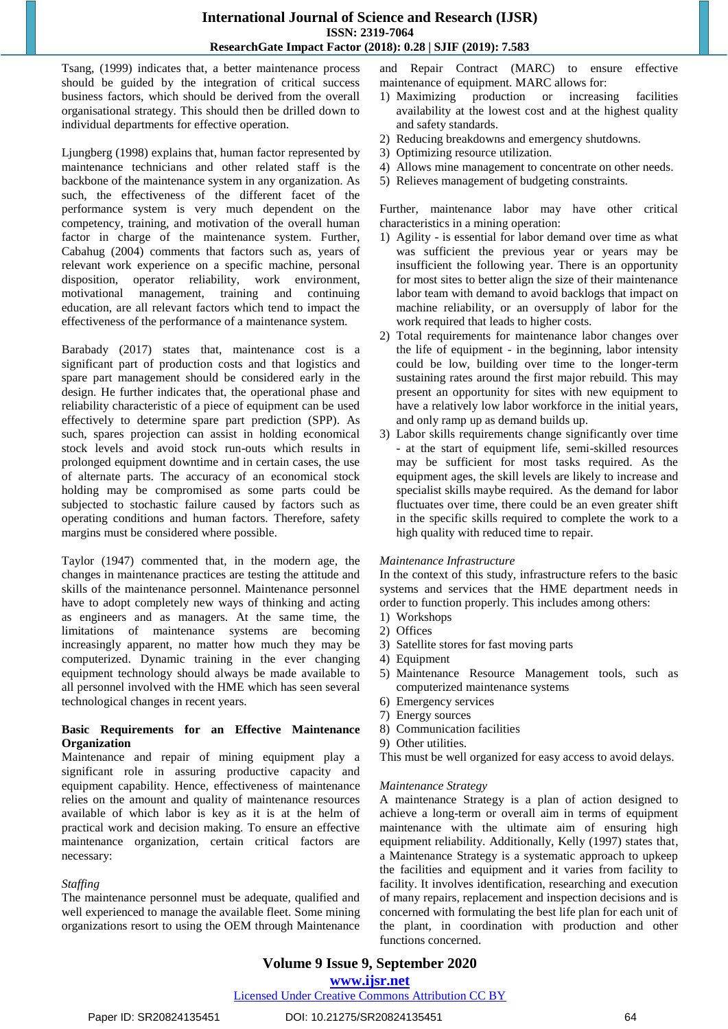Tsang, (1999) indicates that, a better maintenance process should be guided by the integration of critical success business factors, which should be derived from the overall organisational strategy. This should then be drilled down to individual departments for effective operation.

Ljungberg (1998) explains that, human factor represented by maintenance technicians and other related staff is the backbone of the maintenance system in any organization. As such, the effectiveness of the different facet of the performance system is very much dependent on the competency, training, and motivation of the overall human factor in charge of the maintenance system. Further, Cabahug (2004) comments that factors such as, years of relevant work experience on a specific machine, personal disposition, operator reliability, work environment, motivational management, training and continuing education, are all relevant factors which tend to impact the effectiveness of the performance of a maintenance system.

Barabady (2017) states that, maintenance cost is a significant part of production costs and that logistics and spare part management should be considered early in the design. He further indicates that, the operational phase and reliability characteristic of a piece of equipment can be used effectively to determine spare part prediction (SPP). As such, spares projection can assist in holding economical stock levels and avoid stock run-outs which results in prolonged equipment downtime and in certain cases, the use of alternate parts. The accuracy of an economical stock holding may be compromised as some parts could be subjected to stochastic failure caused by factors such as operating conditions and human factors. Therefore, safety margins must be considered where possible.

Taylor (1947) commented that, in the modern age, the changes in maintenance practices are testing the attitude and skills of the maintenance personnel. Maintenance personnel have to adopt completely new ways of thinking and acting as engineers and as managers. At the same time, the limitations of maintenance systems are becoming increasingly apparent, no matter how much they may be computerized. Dynamic training in the ever changing equipment technology should always be made available to all personnel involved with the HME which has seen several technological changes in recent years.

#### **Basic Requirements for an Effective Maintenance Organization**

Maintenance and repair of mining equipment play a significant role in assuring productive capacity and equipment capability. Hence, effectiveness of maintenance relies on the amount and quality of maintenance resources available of which labor is key as it is at the helm of practical work and decision making. To ensure an effective maintenance organization, certain critical factors are necessary:

#### *Staffing*

The maintenance personnel must be adequate, qualified and well experienced to manage the available fleet. Some mining organizations resort to using the OEM through Maintenance

and Repair Contract (MARC) to ensure effective maintenance of equipment. MARC allows for:

- 1) Maximizing production or increasing facilities availability at the lowest cost and at the highest quality and safety standards.
- 2) Reducing breakdowns and emergency shutdowns.
- 3) Optimizing resource utilization.
- 4) Allows mine management to concentrate on other needs.
- 5) Relieves management of budgeting constraints.

Further, maintenance labor may have other critical characteristics in a mining operation:

- 1) Agility is essential for labor demand over time as what was sufficient the previous year or years may be insufficient the following year. There is an opportunity for most sites to better align the size of their maintenance labor team with demand to avoid backlogs that impact on machine reliability, or an oversupply of labor for the work required that leads to higher costs.
- 2) Total requirements for maintenance labor changes over the life of equipment - in the beginning, labor intensity could be low, building over time to the longer-term sustaining rates around the first major rebuild. This may present an opportunity for sites with new equipment to have a relatively low labor workforce in the initial years, and only ramp up as demand builds up.
- 3) Labor skills requirements change significantly over time - at the start of equipment life, semi-skilled resources may be sufficient for most tasks required. As the equipment ages, the skill levels are likely to increase and specialist skills maybe required. As the demand for labor fluctuates over time, there could be an even greater shift in the specific skills required to complete the work to a high quality with reduced time to repair.

#### *Maintenance Infrastructure*

In the context of this study, infrastructure refers to the basic systems and services that the HME department needs in order to function properly. This includes among others:

- 1) Workshops
- 2) Offices
- 3) Satellite stores for fast moving parts
- 4) Equipment
- 5) Maintenance Resource Management tools, such as computerized maintenance systems
- 6) Emergency services
- 7) Energy sources
- 8) Communication facilities
- 9) Other utilities.

This must be well organized for easy access to avoid delays.

#### *Maintenance Strategy*

A maintenance Strategy is a plan of action designed to achieve a long-term or overall aim in terms of equipment maintenance with the ultimate aim of ensuring high equipment reliability. Additionally, Kelly (1997) states that, a Maintenance Strategy is a systematic approach to upkeep the facilities and equipment and it varies from facility to facility. It involves identification, researching and execution of many repairs, replacement and inspection decisions and is concerned with formulating the best life plan for each unit of the plant, in coordination with production and other functions concerned.

# **Volume 9 Issue 9, September 2020**

#### **www.ijsr.net**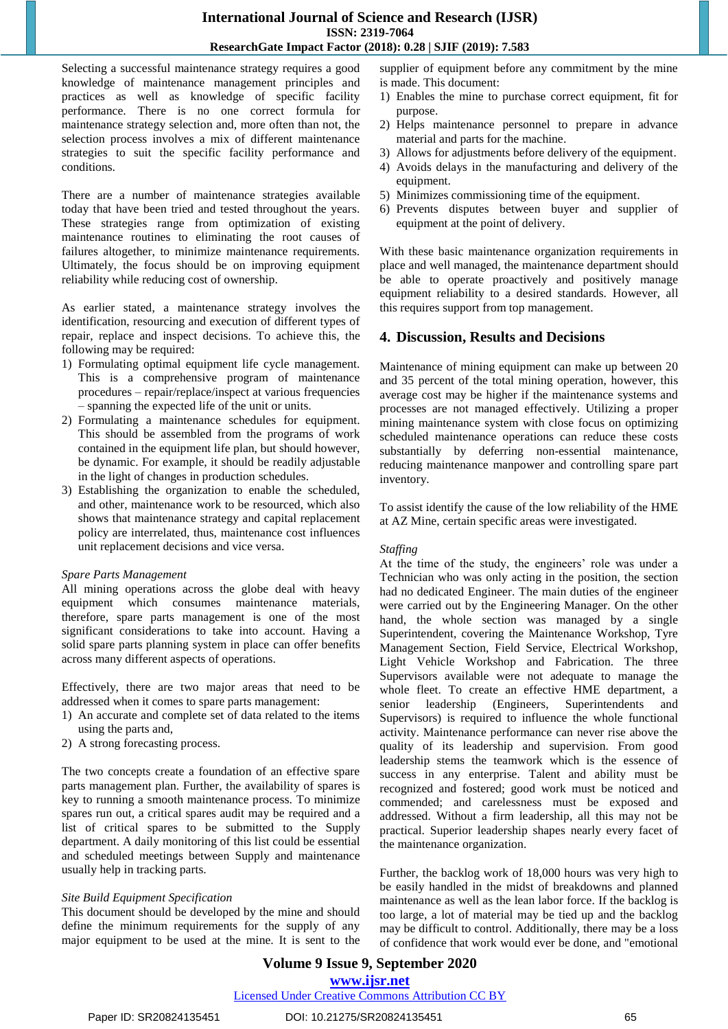Selecting a successful maintenance strategy requires a good knowledge of maintenance management principles and practices as well as knowledge of specific facility performance. There is no one correct formula for maintenance strategy selection and, more often than not, the selection process involves a mix of different maintenance strategies to suit the specific facility performance and conditions.

There are a number of maintenance strategies available today that have been tried and tested throughout the years. These strategies range from optimization of existing maintenance routines to eliminating the root causes of failures altogether, to minimize maintenance requirements. Ultimately, the focus should be on improving equipment reliability while reducing cost of ownership.

As earlier stated, a maintenance strategy involves the identification, resourcing and execution of different types of repair, replace and inspect decisions. To achieve this, the following may be required:

- 1) Formulating optimal equipment life cycle management. This is a comprehensive program of maintenance procedures – repair/replace/inspect at various frequencies – spanning the expected life of the unit or units.
- 2) Formulating a maintenance schedules for equipment. This should be assembled from the programs of work contained in the equipment life plan, but should however, be dynamic. For example, it should be readily adjustable in the light of changes in production schedules.
- 3) Establishing the organization to enable the scheduled, and other, maintenance work to be resourced, which also shows that maintenance strategy and capital replacement policy are interrelated, thus, maintenance cost influences unit replacement decisions and vice versa.

#### *Spare Parts Management*

All mining operations across the globe deal with heavy equipment which consumes maintenance materials, therefore, spare parts management is one of the most significant considerations to take into account. Having a solid spare parts planning system in place can offer benefits across many different aspects of operations.

Effectively, there are two major areas that need to be addressed when it comes to spare parts management:

- 1) An accurate and complete set of data related to the items using the parts and,
- 2) A strong forecasting process.

The two concepts create a foundation of an effective spare parts management plan. Further, the availability of spares is key to running a smooth maintenance process. To minimize spares run out, a critical spares audit may be required and a list of critical spares to be submitted to the Supply department. A daily monitoring of this list could be essential and scheduled meetings between Supply and maintenance usually help in tracking parts.

#### *Site Build Equipment Specification*

This document should be developed by the mine and should define the minimum requirements for the supply of any major equipment to be used at the mine. It is sent to the supplier of equipment before any commitment by the mine is made. This document:

- 1) Enables the mine to purchase correct equipment, fit for purpose.
- 2) Helps maintenance personnel to prepare in advance material and parts for the machine.
- 3) Allows for adjustments before delivery of the equipment.
- 4) Avoids delays in the manufacturing and delivery of the equipment.
- 5) Minimizes commissioning time of the equipment.
- 6) Prevents disputes between buyer and supplier of equipment at the point of delivery.

With these basic maintenance organization requirements in place and well managed, the maintenance department should be able to operate proactively and positively manage equipment reliability to a desired standards. However, all this requires support from top management.

## **4. Discussion, Results and Decisions**

Maintenance of mining equipment can make up between 20 and 35 percent of the total mining operation, however, this average cost may be higher if the maintenance systems and processes are not managed effectively. Utilizing a proper mining maintenance system with close focus on optimizing scheduled maintenance operations can reduce these costs substantially by deferring non-essential maintenance, reducing maintenance manpower and controlling spare part inventory.

To assist identify the cause of the low reliability of the HME at AZ Mine, certain specific areas were investigated.

#### *Staffing*

At the time of the study, the engineers' role was under a Technician who was only acting in the position, the section had no dedicated Engineer. The main duties of the engineer were carried out by the Engineering Manager. On the other hand, the whole section was managed by a single Superintendent, covering the Maintenance Workshop, Tyre Management Section, Field Service, Electrical Workshop, Light Vehicle Workshop and Fabrication. The three Supervisors available were not adequate to manage the whole fleet. To create an effective HME department, a senior leadership (Engineers, Superintendents and Supervisors) is required to influence the whole functional activity. Maintenance performance can never rise above the quality of its leadership and supervision. From good leadership stems the teamwork which is the essence of success in any enterprise. Talent and ability must be recognized and fostered; good work must be noticed and commended; and carelessness must be exposed and addressed. Without a firm leadership, all this may not be practical. Superior leadership shapes nearly every facet of the maintenance organization.

Further, the backlog work of 18,000 hours was very high to be easily handled in the midst of breakdowns and planned maintenance as well as the lean labor force. If the backlog is too large, a lot of material may be tied up and the backlog may be difficult to control. Additionally, there may be a loss of confidence that work would ever be done, and "emotional

## **Volume 9 Issue 9, September 2020 www.ijsr.net**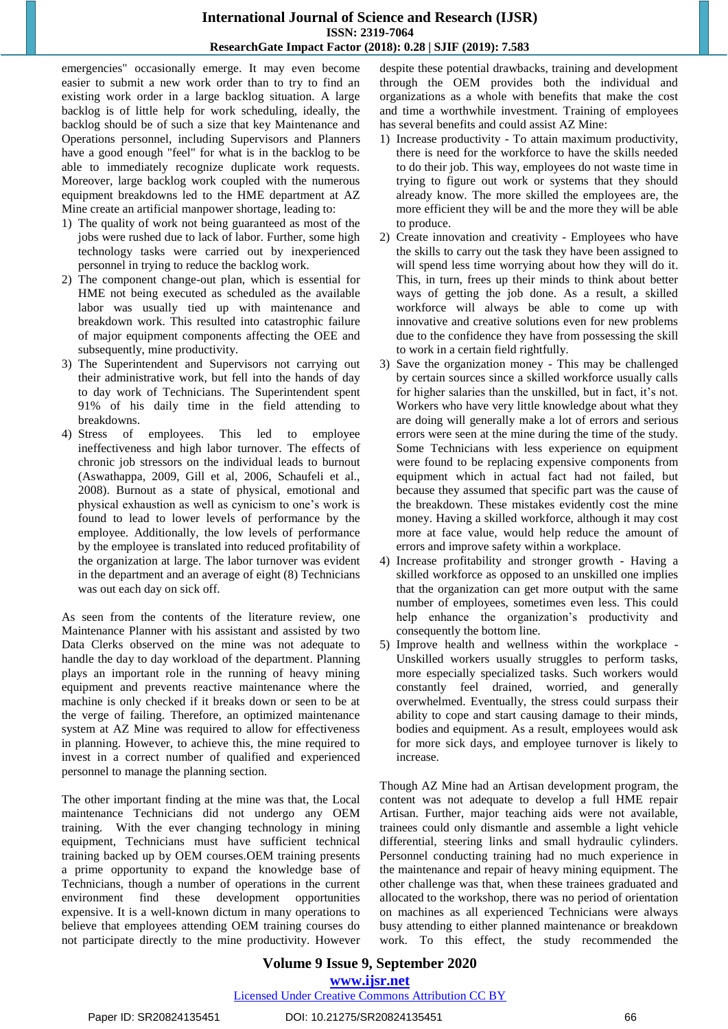emergencies" occasionally emerge. It may even become easier to submit a new work order than to try to find an existing work order in a large backlog situation. A large backlog is of little help for work scheduling, ideally, the backlog should be of such a size that key Maintenance and Operations personnel, including Supervisors and Planners have a good enough "feel" for what is in the backlog to be able to immediately recognize duplicate work requests. Moreover, large backlog work coupled with the numerous equipment breakdowns led to the HME department at AZ Mine create an artificial manpower shortage, leading to:

- 1) The quality of work not being guaranteed as most of the jobs were rushed due to lack of labor. Further, some high technology tasks were carried out by inexperienced personnel in trying to reduce the backlog work.
- 2) The component change-out plan, which is essential for HME not being executed as scheduled as the available labor was usually tied up with maintenance and breakdown work. This resulted into catastrophic failure of major equipment components affecting the OEE and subsequently, mine productivity.
- 3) The Superintendent and Supervisors not carrying out their administrative work, but fell into the hands of day to day work of Technicians. The Superintendent spent 91% of his daily time in the field attending to breakdowns.
- 4) Stress of employees. This led to employee ineffectiveness and high labor turnover. The effects of chronic job stressors on the individual leads to burnout (Aswathappa, 2009, Gill et al, 2006, Schaufeli et al., 2008). Burnout as a state of physical, emotional and physical exhaustion as well as cynicism to one"s work is found to lead to lower levels of performance by the employee. Additionally, the low levels of performance by the employee is translated into reduced profitability of the organization at large. The labor turnover was evident in the department and an average of eight (8) Technicians was out each day on sick off.

As seen from the contents of the literature review, one Maintenance Planner with his assistant and assisted by two Data Clerks observed on the mine was not adequate to handle the day to day workload of the department. Planning plays an important role in the running of heavy mining equipment and prevents reactive maintenance where the machine is only checked if it breaks down or seen to be at the verge of failing. Therefore, an optimized maintenance system at AZ Mine was required to allow for effectiveness in planning. However, to achieve this, the mine required to invest in a correct number of qualified and experienced personnel to manage the planning section.

The other important finding at the mine was that, the Local maintenance Technicians did not undergo any OEM training. With the ever changing technology in mining equipment, Technicians must have sufficient technical training backed up by OEM courses.OEM training presents a prime opportunity to expand the knowledge base of Technicians, though a number of operations in the current environment find these development opportunities expensive. It is a well-known dictum in many operations to believe that employees attending OEM training courses do not participate directly to the mine productivity. However despite these potential drawbacks, training and development through the OEM provides both the individual and organizations as a whole with benefits that make the cost and time a worthwhile investment. Training of employees has several benefits and could assist AZ Mine:

- 1) Increase productivity To attain maximum productivity, there is need for the workforce to have the skills needed to do their job. This way, employees do not waste time in trying to figure out work or systems that they should already know. The more skilled the employees are, the more efficient they will be and the more they will be able to produce.
- 2) Create innovation and creativity Employees who have the skills to carry out the task they have been assigned to will spend less time worrying about how they will do it. This, in turn, frees up their minds to think about better ways of getting the job done. As a result, a skilled workforce will always be able to come up with innovative and creative solutions even for new problems due to the confidence they have from possessing the skill to work in a certain field rightfully.
- 3) Save the organization money This may be challenged by certain sources since a skilled workforce usually calls for higher salaries than the unskilled, but in fact, it's not. Workers who have very little knowledge about what they are doing will generally make a lot of errors and serious errors were seen at the mine during the time of the study. Some Technicians with less experience on equipment were found to be replacing expensive components from equipment which in actual fact had not failed, but because they assumed that specific part was the cause of the breakdown. These mistakes evidently cost the mine money. Having a skilled workforce, although it may cost more at face value, would help reduce the amount of errors and improve safety within a workplace.
- 4) Increase profitability and stronger growth Having a skilled workforce as opposed to an unskilled one implies that the organization can get more output with the same number of employees, sometimes even less. This could help enhance the organization's productivity and consequently the bottom line.
- 5) Improve health and wellness within the workplace Unskilled workers usually struggles to perform tasks, more especially specialized tasks. Such workers would constantly feel drained, worried, and generally overwhelmed. Eventually, the stress could surpass their ability to cope and start causing damage to their minds, bodies and equipment. As a result, employees would ask for more sick days, and employee turnover is likely to increase.

Though AZ Mine had an Artisan development program, the content was not adequate to develop a full HME repair Artisan. Further, major teaching aids were not available, trainees could only dismantle and assemble a light vehicle differential, steering links and small hydraulic cylinders. Personnel conducting training had no much experience in the maintenance and repair of heavy mining equipment. The other challenge was that, when these trainees graduated and allocated to the workshop, there was no period of orientation on machines as all experienced Technicians were always busy attending to either planned maintenance or breakdown work. To this effect, the study recommended the

## **Volume 9 Issue 9, September 2020 www.ijsr.net**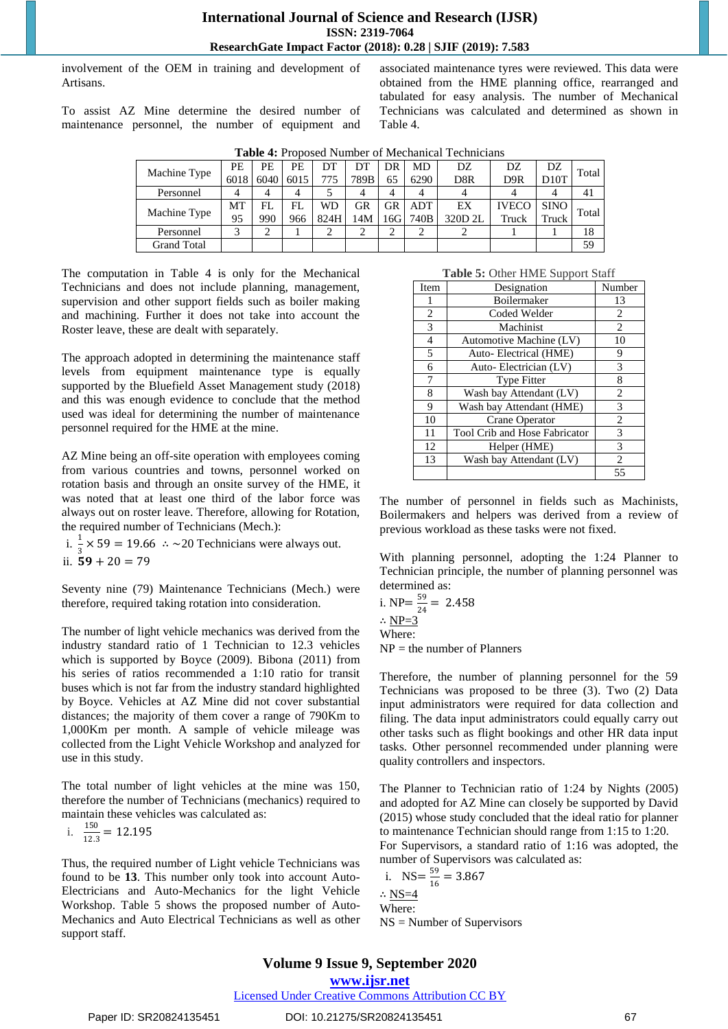involvement of the OEM in training and development of Artisans.

To assist AZ Mine determine the desired number of maintenance personnel, the number of equipment and associated maintenance tyres were reviewed. This data were obtained from the HME planning office, rearranged and tabulated for easy analysis. The number of Mechanical Technicians was calculated and determined as shown in Table 4.

| <b>Table 4:</b> Proposed Number of Mechanical Technicians |      |      |      |      |      |     |      |         |              |             |       |
|-----------------------------------------------------------|------|------|------|------|------|-----|------|---------|--------------|-------------|-------|
| Machine Type                                              | РE   | PE   | PE   | DT   |      | DR  | MD   | DZ      | DZ           | DZ          | Total |
|                                                           | 6018 | 6040 | 6015 | 775  | 789B | 65  | 6290 | D8R     | D9R          | D10T        |       |
| Personnel                                                 |      | 4    | 4    |      | 4    | 4   | 4    |         |              |             | 41    |
| Machine Type                                              | МT   | FL.  | FL   | WD   | GR   | GR  | ADT  | EX      | <b>IVECO</b> | <b>SINO</b> | Total |
|                                                           | 95   | 990  | 966  | 824H | 14M  | 16G | 740B | 320D 2L | Truck        | Truck       |       |
| Personnel                                                 |      |      |      |      | ◠    |     |      |         |              |             | 18    |
| <b>Grand Total</b>                                        |      |      |      |      |      |     |      |         |              |             | 59    |

**Table 4:** Proposed Number of Mechanical Technicians

The computation in Table 4 is only for the Mechanical Technicians and does not include planning, management, supervision and other support fields such as boiler making and machining. Further it does not take into account the Roster leave, these are dealt with separately.

The approach adopted in determining the maintenance staff levels from equipment maintenance type is equally supported by the Bluefield Asset Management study (2018) and this was enough evidence to conclude that the method used was ideal for determining the number of maintenance personnel required for the HME at the mine.

AZ Mine being an off-site operation with employees coming from various countries and towns, personnel worked on rotation basis and through an onsite survey of the HME, it was noted that at least one third of the labor force was always out on roster leave. Therefore, allowing for Rotation, the required number of Technicians (Mech.):

i.  $\frac{1}{3} \times 59 = 19.66$  ∴ ~20 Technicians were always out. ii.  $59 + 20 = 79$ 

Seventy nine (79) Maintenance Technicians (Mech.) were therefore, required taking rotation into consideration.

The number of light vehicle mechanics was derived from the industry standard ratio of 1 Technician to 12.3 vehicles which is supported by Boyce (2009). Bibona (2011) from his series of ratios recommended a 1:10 ratio for transit buses which is not far from the industry standard highlighted by Boyce. Vehicles at AZ Mine did not cover substantial distances; the majority of them cover a range of 790Km to 1,000Km per month. A sample of vehicle mileage was collected from the Light Vehicle Workshop and analyzed for use in this study.

The total number of light vehicles at the mine was 150, therefore the number of Technicians (mechanics) required to maintain these vehicles was calculated as:

i. 
$$
\frac{150}{12.3} = 12.195
$$

Thus, the required number of Light vehicle Technicians was found to be **13**. This number only took into account Auto-Electricians and Auto-Mechanics for the light Vehicle Workshop. Table 5 shows the proposed number of Auto-Mechanics and Auto Electrical Technicians as well as other support staff.

**Table 5:** Other HME Support Staff

| Item | Designation                   | Number |
|------|-------------------------------|--------|
| ı    | <b>Boilermaker</b>            | 13     |
| 2    | Coded Welder                  | 2      |
| 3    | Machinist                     | 2      |
| 4    | Automotive Machine (LV)       | 10     |
| 5    | Auto-Electrical (HME)         | 9      |
| 6    | Auto-Electrician (LV)         | 3      |
| 7    | <b>Type Fitter</b>            | 8      |
| 8    | Wash bay Attendant (LV)       | 2      |
| 9    | Wash bay Attendant (HME)      | 3      |
| 10   | Crane Operator                | 2      |
| 11   | Tool Crib and Hose Fabricator | 3      |
| 12   | Helper (HME)                  | 3      |
| 13   | Wash bay Attendant (LV)       | 2      |
|      |                               | 55     |

The number of personnel in fields such as Machinists, Boilermakers and helpers was derived from a review of previous workload as these tasks were not fixed.

With planning personnel, adopting the 1:24 Planner to Technician principle, the number of planning personnel was determined as:

i. NP=
$$
\frac{59}{24}
$$
 = 2.458

∴ NP $=$ 3

Where:

 $NP =$  the number of Planners

Therefore, the number of planning personnel for the 59 Technicians was proposed to be three (3). Two (2) Data input administrators were required for data collection and filing. The data input administrators could equally carry out other tasks such as flight bookings and other HR data input tasks. Other personnel recommended under planning were quality controllers and inspectors.

The Planner to Technician ratio of 1:24 by Nights (2005) and adopted for AZ Mine can closely be supported by David (2015) whose study concluded that the ideal ratio for planner to maintenance Technician should range from 1:15 to 1:20. For Supervisors, a standard ratio of 1:16 was adopted, the number of Supervisors was calculated as:

$$
1. NS = \frac{59}{16} = 3.867
$$
  
 
$$
\therefore \frac{NS=4}{N}
$$
  
Where:

NS = Number of Supervisors

# **Volume 9 Issue 9, September 2020**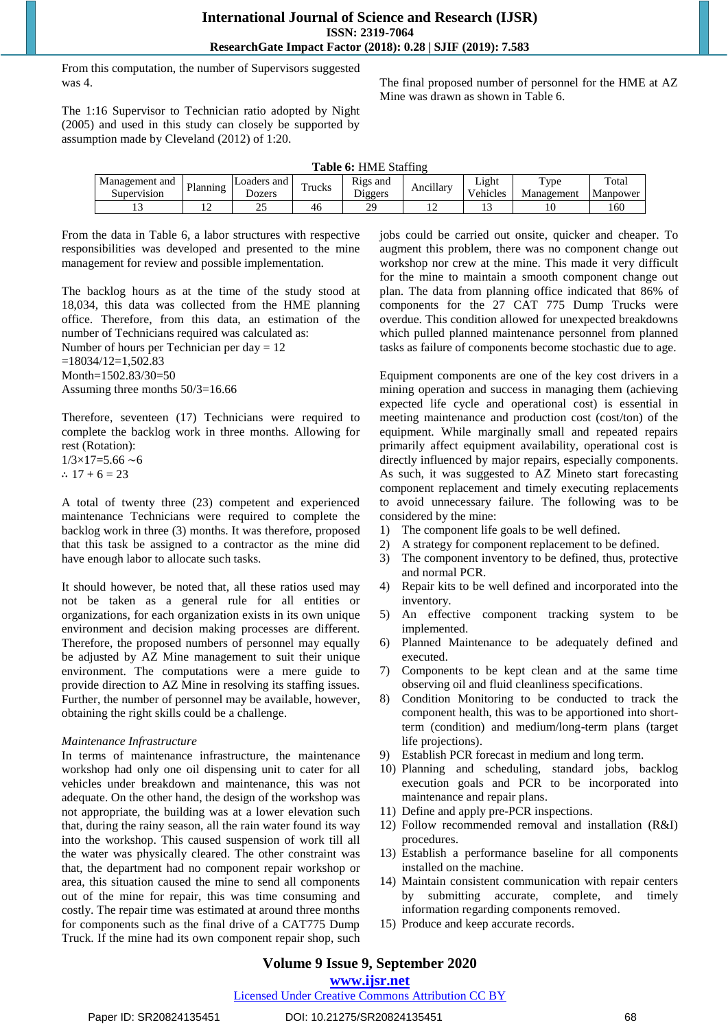From this computation, the number of Supervisors suggested was 4.

The final proposed number of personnel for the HME at AZ Mine was drawn as shown in Table 6.

The 1:16 Supervisor to Technician ratio adopted by Night (2005) and used in this study can closely be supported by assumption made by Cleveland (2012) of 1:20.

**Table 6:** HME Staffing

| Management and<br>Supervision | Planning | Loaders<br>≒and<br>Dozers | $\mathbf{r}$<br>rucks | n.<br>Rigs and<br>Diggers | <br>Ancıllarv | $  -$<br>Lıght<br>v ehicles | $TV$ pe<br>Management | Total<br>Manpower |
|-------------------------------|----------|---------------------------|-----------------------|---------------------------|---------------|-----------------------------|-----------------------|-------------------|
| ⊥                             | . .      | ىدىك                      | 46                    | $\gamma$ q<br>- -         | . .           | . .                         | 10                    | 160               |

From the data in Table 6, a labor structures with respective responsibilities was developed and presented to the mine management for review and possible implementation.

The backlog hours as at the time of the study stood at 18,034, this data was collected from the HME planning office. Therefore, from this data, an estimation of the number of Technicians required was calculated as:

Number of hours per Technician per day = 12  $=18034/12=1,502.83$ Month=1502.83/30=50 Assuming three months 50/3=16.66

Therefore, seventeen (17) Technicians were required to complete the backlog work in three months. Allowing for rest (Rotation):

 $1/3\times17=5.66$  ~6 ∴  $17 + 6 = 23$ 

A total of twenty three (23) competent and experienced maintenance Technicians were required to complete the backlog work in three (3) months. It was therefore, proposed that this task be assigned to a contractor as the mine did have enough labor to allocate such tasks.

It should however, be noted that, all these ratios used may not be taken as a general rule for all entities or organizations, for each organization exists in its own unique environment and decision making processes are different. Therefore, the proposed numbers of personnel may equally be adjusted by AZ Mine management to suit their unique environment. The computations were a mere guide to provide direction to AZ Mine in resolving its staffing issues. Further, the number of personnel may be available, however, obtaining the right skills could be a challenge.

#### *Maintenance Infrastructure*

In terms of maintenance infrastructure, the maintenance workshop had only one oil dispensing unit to cater for all vehicles under breakdown and maintenance, this was not adequate. On the other hand, the design of the workshop was not appropriate, the building was at a lower elevation such that, during the rainy season, all the rain water found its way into the workshop. This caused suspension of work till all the water was physically cleared. The other constraint was that, the department had no component repair workshop or area, this situation caused the mine to send all components out of the mine for repair, this was time consuming and costly. The repair time was estimated at around three months for components such as the final drive of a CAT775 Dump Truck. If the mine had its own component repair shop, such

jobs could be carried out onsite, quicker and cheaper. To augment this problem, there was no component change out workshop nor crew at the mine. This made it very difficult for the mine to maintain a smooth component change out plan. The data from planning office indicated that 86% of components for the 27 CAT 775 Dump Trucks were overdue. This condition allowed for unexpected breakdowns which pulled planned maintenance personnel from planned tasks as failure of components become stochastic due to age.

Equipment components are one of the key cost drivers in a mining operation and success in managing them (achieving expected life cycle and operational cost) is essential in meeting maintenance and production cost (cost/ton) of the equipment. While marginally small and repeated repairs primarily affect equipment availability, operational cost is directly influenced by major repairs, especially components. As such, it was suggested to AZ Mineto start forecasting component replacement and timely executing replacements to avoid unnecessary failure. The following was to be considered by the mine:

- 1) The component life goals to be well defined.
- 2) A strategy for component replacement to be defined.
- 3) The component inventory to be defined, thus, protective and normal PCR.
- 4) Repair kits to be well defined and incorporated into the inventory.
- 5) An effective component tracking system to be implemented.
- 6) Planned Maintenance to be adequately defined and executed.
- 7) Components to be kept clean and at the same time observing oil and fluid cleanliness specifications.
- 8) Condition Monitoring to be conducted to track the component health, this was to be apportioned into shortterm (condition) and medium/long-term plans (target life projections).
- 9) Establish PCR forecast in medium and long term.
- 10) Planning and scheduling, standard jobs, backlog execution goals and PCR to be incorporated into maintenance and repair plans.
- 11) Define and apply pre-PCR inspections.
- 12) Follow recommended removal and installation (R&I) procedures.
- 13) Establish a performance baseline for all components installed on the machine.
- 14) Maintain consistent communication with repair centers by submitting accurate, complete, and timely information regarding components removed.
- 15) Produce and keep accurate records.

## **Volume 9 Issue 9, September 2020**

**www.ijsr.net**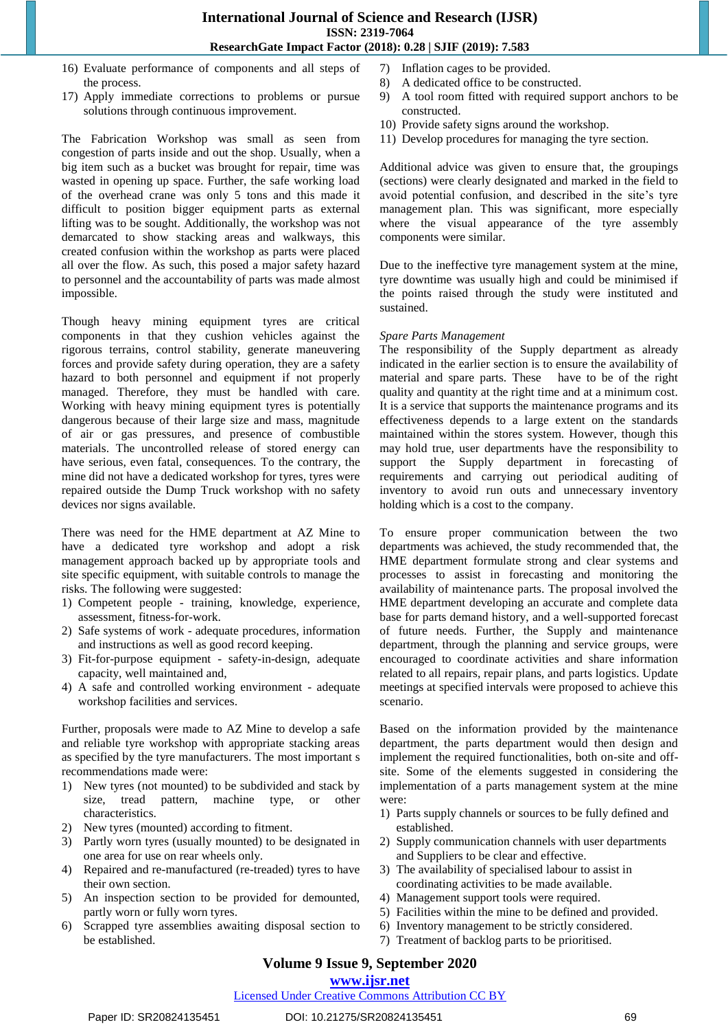- 16) Evaluate performance of components and all steps of the process.
- 17) Apply immediate corrections to problems or pursue solutions through continuous improvement.

The Fabrication Workshop was small as seen from congestion of parts inside and out the shop. Usually, when a big item such as a bucket was brought for repair, time was wasted in opening up space. Further, the safe working load of the overhead crane was only 5 tons and this made it difficult to position bigger equipment parts as external lifting was to be sought. Additionally, the workshop was not demarcated to show stacking areas and walkways, this created confusion within the workshop as parts were placed all over the flow. As such, this posed a major safety hazard to personnel and the accountability of parts was made almost impossible.

Though heavy mining equipment tyres are critical components in that they cushion vehicles against the rigorous terrains, control stability, generate maneuvering forces and provide safety during operation, they are a safety hazard to both personnel and equipment if not properly managed. Therefore, they must be handled with care. Working with heavy mining equipment tyres is potentially dangerous because of their large size and mass, magnitude of air or gas pressures, and presence of combustible materials. The uncontrolled release of stored energy can have serious, even fatal, consequences. To the contrary, the mine did not have a dedicated workshop for tyres, tyres were repaired outside the Dump Truck workshop with no safety devices nor signs available.

There was need for the HME department at AZ Mine to have a dedicated tyre workshop and adopt a risk management approach backed up by appropriate tools and site specific equipment, with suitable controls to manage the risks. The following were suggested:

- 1) Competent people training, knowledge, experience, assessment, fitness-for-work.
- 2) Safe systems of work adequate procedures, information and instructions as well as good record keeping.
- 3) Fit-for-purpose equipment safety-in-design, adequate capacity, well maintained and,
- 4) A safe and controlled working environment adequate workshop facilities and services.

Further, proposals were made to AZ Mine to develop a safe and reliable tyre workshop with appropriate stacking areas as specified by the tyre manufacturers. The most important s recommendations made were:

- 1) New tyres (not mounted) to be subdivided and stack by size, tread pattern, machine type, or other characteristics.
- 2) New tyres (mounted) according to fitment.
- 3) Partly worn tyres (usually mounted) to be designated in one area for use on rear wheels only.
- 4) Repaired and re-manufactured (re-treaded) tyres to have their own section.
- 5) An inspection section to be provided for demounted, partly worn or fully worn tyres.
- 6) Scrapped tyre assemblies awaiting disposal section to be established.
- 7) Inflation cages to be provided.
- 8) A dedicated office to be constructed.
- 9) A tool room fitted with required support anchors to be constructed.
- 10) Provide safety signs around the workshop.
- 11) Develop procedures for managing the tyre section.

Additional advice was given to ensure that, the groupings (sections) were clearly designated and marked in the field to avoid potential confusion, and described in the site's tyre management plan. This was significant, more especially where the visual appearance of the tyre assembly components were similar.

Due to the ineffective tyre management system at the mine, tyre downtime was usually high and could be minimised if the points raised through the study were instituted and sustained.

#### *Spare Parts Management*

The responsibility of the Supply department as already indicated in the earlier section is to ensure the availability of material and spare parts. These have to be of the right quality and quantity at the right time and at a minimum cost. It is a service that supports the maintenance programs and its effectiveness depends to a large extent on the standards maintained within the stores system. However, though this may hold true, user departments have the responsibility to support the Supply department in forecasting of requirements and carrying out periodical auditing of inventory to avoid run outs and unnecessary inventory holding which is a cost to the company.

To ensure proper communication between the two departments was achieved, the study recommended that, the HME department formulate strong and clear systems and processes to assist in forecasting and monitoring the availability of maintenance parts. The proposal involved the HME department developing an accurate and complete data base for parts demand history, and a well-supported forecast of future needs. Further, the Supply and maintenance department, through the planning and service groups, were encouraged to coordinate activities and share information related to all repairs, repair plans, and parts logistics. Update meetings at specified intervals were proposed to achieve this scenario.

Based on the information provided by the maintenance department, the parts department would then design and implement the required functionalities, both on-site and offsite. Some of the elements suggested in considering the implementation of a parts management system at the mine were:

- 1) Parts supply channels or sources to be fully defined and established.
- 2) Supply communication channels with user departments and Suppliers to be clear and effective.
- 3) The availability of specialised labour to assist in coordinating activities to be made available.
- 4) Management support tools were required.
- 5) Facilities within the mine to be defined and provided.
- 6) Inventory management to be strictly considered.
- 7) Treatment of backlog parts to be prioritised.

# **Volume 9 Issue 9, September 2020**

# **www.ijsr.net**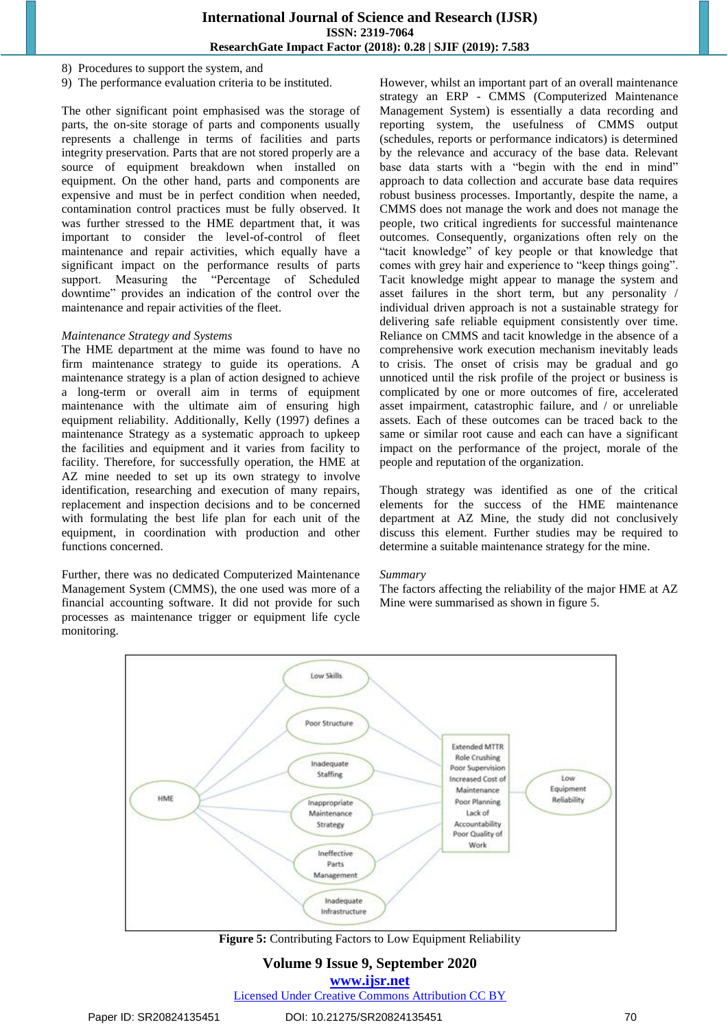8) Procedures to support the system, and

9) The performance evaluation criteria to be instituted.

The other significant point emphasised was the storage of parts, the on-site storage of parts and components usually represents a challenge in terms of facilities and parts integrity preservation. Parts that are not stored properly are a source of equipment breakdown when installed on equipment. On the other hand, parts and components are expensive and must be in perfect condition when needed, contamination control practices must be fully observed. It was further stressed to the HME department that, it was important to consider the level-of-control of fleet maintenance and repair activities, which equally have a significant impact on the performance results of parts support. Measuring the "Percentage of Scheduled downtime" provides an indication of the control over the maintenance and repair activities of the fleet.

#### *Maintenance Strategy and Systems*

The HME department at the mime was found to have no firm maintenance strategy to guide its operations. A maintenance strategy is a plan of action designed to achieve a long-term or overall aim in terms of equipment maintenance with the ultimate aim of ensuring high equipment reliability. Additionally, Kelly (1997) defines a maintenance Strategy as a systematic approach to upkeep the facilities and equipment and it varies from facility to facility. Therefore, for successfully operation, the HME at AZ mine needed to set up its own strategy to involve identification, researching and execution of many repairs, replacement and inspection decisions and to be concerned with formulating the best life plan for each unit of the equipment, in coordination with production and other functions concerned.

Further, there was no dedicated Computerized Maintenance Management System (CMMS), the one used was more of a financial accounting software. It did not provide for such processes as maintenance trigger or equipment life cycle monitoring.

However, whilst an important part of an overall maintenance strategy an ERP - CMMS (Computerized Maintenance Management System) is essentially a data recording and reporting system, the usefulness of CMMS output (schedules, reports or performance indicators) is determined by the relevance and accuracy of the base data. Relevant base data starts with a "begin with the end in mind" approach to data collection and accurate base data requires robust business processes. Importantly, despite the name, a CMMS does not manage the work and does not manage the people, two critical ingredients for successful maintenance outcomes. Consequently, organizations often rely on the "tacit knowledge" of key people or that knowledge that comes with grey hair and experience to "keep things going". Tacit knowledge might appear to manage the system and asset failures in the short term, but any personality / individual driven approach is not a sustainable strategy for delivering safe reliable equipment consistently over time. Reliance on CMMS and tacit knowledge in the absence of a comprehensive work execution mechanism inevitably leads to crisis. The onset of crisis may be gradual and go unnoticed until the risk profile of the project or business is complicated by one or more outcomes of fire, accelerated asset impairment, catastrophic failure, and / or unreliable assets. Each of these outcomes can be traced back to the same or similar root cause and each can have a significant impact on the performance of the project, morale of the people and reputation of the organization.

Though strategy was identified as one of the critical elements for the success of the HME maintenance department at AZ Mine, the study did not conclusively discuss this element. Further studies may be required to determine a suitable maintenance strategy for the mine.

#### *Summary*

The factors affecting the reliability of the major HME at AZ Mine were summarised as shown in figure 5.



**Figure 5:** Contributing Factors to Low Equipment Reliability

## **Volume 9 Issue 9, September 2020 www.ijsr.net**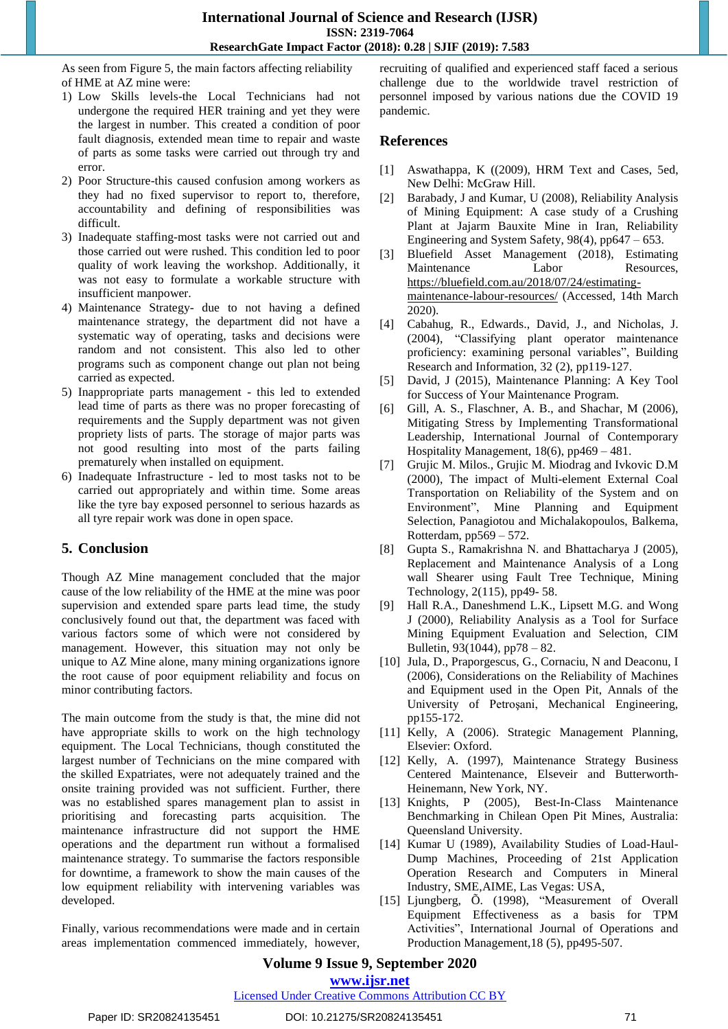As seen from Figure 5, the main factors affecting reliability of HME at AZ mine were:

- 1) Low Skills levels-the Local Technicians had not undergone the required HER training and yet they were the largest in number. This created a condition of poor fault diagnosis, extended mean time to repair and waste of parts as some tasks were carried out through try and error.
- 2) Poor Structure-this caused confusion among workers as they had no fixed supervisor to report to, therefore, accountability and defining of responsibilities was difficult.
- 3) Inadequate staffing-most tasks were not carried out and those carried out were rushed. This condition led to poor quality of work leaving the workshop. Additionally, it was not easy to formulate a workable structure with insufficient manpower.
- 4) Maintenance Strategy- due to not having a defined maintenance strategy, the department did not have a systematic way of operating, tasks and decisions were random and not consistent. This also led to other programs such as component change out plan not being carried as expected.
- 5) Inappropriate parts management this led to extended lead time of parts as there was no proper forecasting of requirements and the Supply department was not given propriety lists of parts. The storage of major parts was not good resulting into most of the parts failing prematurely when installed on equipment.
- 6) Inadequate Infrastructure led to most tasks not to be carried out appropriately and within time. Some areas like the tyre bay exposed personnel to serious hazards as all tyre repair work was done in open space.

## **5. Conclusion**

Though AZ Mine management concluded that the major cause of the low reliability of the HME at the mine was poor supervision and extended spare parts lead time, the study conclusively found out that, the department was faced with various factors some of which were not considered by management. However, this situation may not only be unique to AZ Mine alone, many mining organizations ignore the root cause of poor equipment reliability and focus on minor contributing factors.

The main outcome from the study is that, the mine did not have appropriate skills to work on the high technology equipment. The Local Technicians, though constituted the largest number of Technicians on the mine compared with the skilled Expatriates, were not adequately trained and the onsite training provided was not sufficient. Further, there was no established spares management plan to assist in prioritising and forecasting parts acquisition. The maintenance infrastructure did not support the HME operations and the department run without a formalised maintenance strategy. To summarise the factors responsible for downtime, a framework to show the main causes of the low equipment reliability with intervening variables was developed.

Finally, various recommendations were made and in certain areas implementation commenced immediately, however, recruiting of qualified and experienced staff faced a serious challenge due to the worldwide travel restriction of personnel imposed by various nations due the COVID 19 pandemic.

## **References**

- [1] Aswathappa, K ((2009), HRM Text and Cases, 5ed, New Delhi: McGraw Hill.
- [2] Barabady, J and Kumar, U (2008), Reliability Analysis of Mining Equipment: A case study of a Crushing Plant at Jajarm Bauxite Mine in Iran, Reliability Engineering and System Safety,  $98(4)$ , pp $647 - 653$ .
- [3] Bluefield Asset Management (2018), Estimating Maintenance Labor Resources, https://bluefield.com.au/2018/07/24/estimatingmaintenance-labour-resources/ (Accessed, 14th March 2020).
- [4] Cabahug, R., Edwards., David, J., and Nicholas, J. (2004), "Classifying plant operator maintenance proficiency: examining personal variables", Building Research and Information, 32 (2), pp119-127.
- [5] David, J (2015), Maintenance Planning: A Key Tool for Success of Your Maintenance Program.
- [6] Gill, A. S., Flaschner, A. B., and Shachar, M (2006), Mitigating Stress by Implementing Transformational Leadership, International Journal of Contemporary Hospitality Management, 18(6), pp469 – 481.
- [7] Grujic M. Milos., Grujic M. Miodrag and Ivkovic D.M (2000), The impact of Multi-element External Coal Transportation on Reliability of the System and on Environment", Mine Planning and Equipment Selection, Panagiotou and Michalakopoulos, Balkema, Rotterdam, pp569 – 572.
- [8] Gupta S., Ramakrishna N. and Bhattacharya J (2005), Replacement and Maintenance Analysis of a Long wall Shearer using Fault Tree Technique, Mining Technology, 2(115), pp49- 58.
- [9] Hall R.A., Daneshmend L.K., Lipsett M.G. and Wong J (2000), Reliability Analysis as a Tool for Surface Mining Equipment Evaluation and Selection, CIM Bulletin, 93(1044), pp78 – 82.
- [10] Jula, D., Praporgescus, G., Cornaciu, N and Deaconu, I (2006), Considerations on the Reliability of Machines and Equipment used in the Open Pit, Annals of the University of Petroşani, Mechanical Engineering, pp155-172.
- [11] Kelly, A (2006). Strategic Management Planning, Elsevier: Oxford.
- [12] Kelly, A. (1997), Maintenance Strategy Business Centered Maintenance, Elseveir and Butterworth-Heinemann, New York, NY.
- [13] Knights, P (2005), Best-In-Class Maintenance Benchmarking in Chilean Open Pit Mines, Australia: Queensland University.
- [14] Kumar U (1989), Availability Studies of Load-Haul-Dump Machines, Proceeding of 21st Application Operation Research and Computers in Mineral Industry, SME,AIME, Las Vegas: USA,
- [15] Ljungberg, Õ. (1998), "Measurement of Overall Equipment Effectiveness as a basis for TPM Activities", International Journal of Operations and Production Management,18 (5), pp495-507.

# **Volume 9 Issue 9, September 2020**

#### **www.ijsr.net**